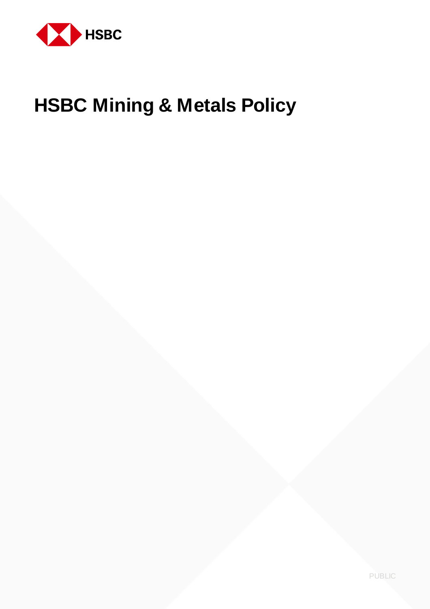

# **HSBC Mining & Metals Policy**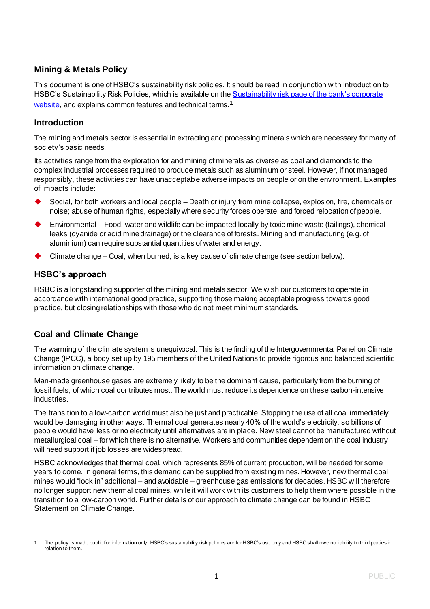## **Mining & Metals Policy**

This document is one of HSBC's sustainability risk policies. It should be read in conjunction with Introduction to HSBC's Sustainability Risk Policies, which is available on the **Sustainability risk page of the bank's corporate** [website,](https://www.hsbc.com/our-approach/risk-and-responsibility/sustainability-risk) and explains common features and technical terms.<sup>1</sup>

#### **Introduction**

The mining and metals sector is essential in extracting and processing minerals which are necessary for many of society's basic needs.

Its activities range from the exploration for and mining of minerals as diverse as coal and diamonds to the complex industrial processes required to produce metals such as aluminium or steel. However, if not managed responsibly, these activities can have unacceptable adverse impacts on people or on the environment. Examples of impacts include:

- Social, for both workers and local people Death or injury from mine collapse, explosion, fire, chemicals or noise; abuse of human rights, especially where security forces operate; and forced relocation of people.
- Environmental Food, water and wildlife can be impacted locally by toxic mine waste (tailings), chemical leaks (cyanide or acid mine drainage) or the clearance of forests. Mining and manufacturing (e.g. of aluminium) can require substantial quantities of water and energy.
- Climate change Coal, when burned, is a key cause of climate change (see section below).

## **HSBC's approach**

HSBC is a longstanding supporter of the mining and metals sector. We wish our customers to operate in accordance with international good practice, supporting those making acceptable progress towards good practice, but closing relationships with those who do not meet minimum standards.

## **Coal and Climate Change**

The warming of the climate system is unequivocal. This is the finding of the Intergovernmental Panel on Climate Change (IPCC), a body set up by 195 members of the United Nations to provide rigorous and balanced scientific information on climate change.

Man-made greenhouse gases are extremely likely to be the dominant cause, particularly from the burning of fossil fuels, of which coal contributes most. The world must reduce its dependence on these carbon-intensive industries.

The transition to a low-carbon world must also be just and practicable. Stopping the use of all coal immediately would be damaging in other ways. Thermal coal generates nearly 40% of the world's electricity, so billions of people would have less or no electricity until alternatives are in place. New steel cannot be manufactured without metallurgical coal – for which there is no alternative. Workers and communities dependent on the coal industry will need support if job losses are widespread.

HSBC acknowledges that thermal coal, which represents 85% of current production, will be needed for some years to come. In general terms, this demand can be supplied from existing mines. However, new thermal coal mines would "lock in" additional – and avoidable – greenhouse gas emissions for decades. HSBC will therefore no longer support new thermal coal mines, while it will work with its customers to help them where possible in the transition to a low-carbon world. Further details of our approach to climate change can be found in HSBC Statement on Climate Change.

The policy is made public for information only. HSBC's sustainability risk policies are for HSBC's use only and HSBC shall owe no liability to third parties in relation to them.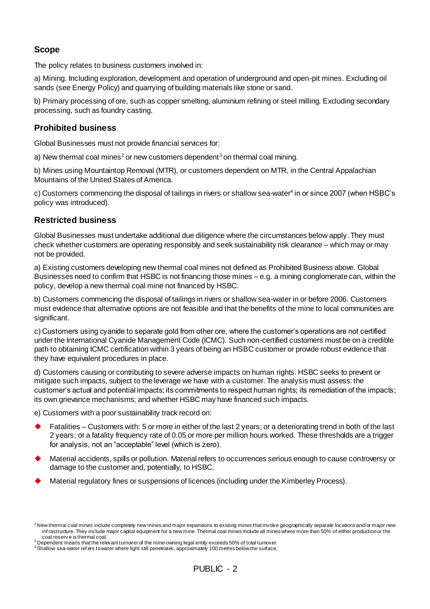## **Scope**

The policy relates to business customers involved in:

a) Mining. Including exploration, development and operation of underground and open-pit mines. Excluding oil sands (see Energy Policy) and quarrying of building materials like stone or sand.

b) Primary processing of ore, such as copper smelting, aluminium refining or steel milling. Excluding secondary processing, such as foundry casting.

## **Prohibited business**

Global Businesses must not provide financial services for:

a) New thermal coal mines<sup>2</sup> or new customers dependent<sup>3</sup> on thermal coal mining.

b) Mines using Mountaintop Removal (MTR), or customers dependent on MTR, in the Central Appalachian Mountains of the United States of America.

c) Customers commencing the disposal of tailings in rivers or shallow sea-water<sup>4</sup> in or since 2007 (when HSBC's policy was introduced).

#### **Restricted business**

Global Businesses must undertake additional due diligence where the circumstances below apply. They must check whether customers are operating responsibly and seek sustainability risk clearance – which may or may not be provided.

a) Existing customers developing new thermal coal mines not defined as Prohibited Business above. Global Businesses need to confirm that HSBC is not financing those mines – e.g. a mining conglomerate can, within the policy, develop a new thermal coal mine not financed by HSBC.

b) Customers commencing the disposal of tailings in rivers or shallow sea-water in or before 2006. Customers must evidence that alternative options are not feasible and that the benefits of the mine to local communities are significant.

c) Customers using cyanide to separate gold from other ore, where the customer's operations are not certified under the International Cyanide Management Code (ICMC). Such non-certified customers must be on a credible path to obtaining ICMC certification within 3 years of being an HSBC customer or provide robust evidence that they have equivalent procedures in place.

d) Customers causing or contributing to severe adverse impacts on human rights. HSBC seeks to prevent or mitigate such impacts, subject to the leverage we have with a customer. The analysis must assess: the customer's actual and potential impacts; its commitments to respect human rights; its remediation of the impacts; its own grievance mechanisms; and whether HSBC may have financed such impacts.

e) Customers with a poor sustainability track record on:

- Fatalities Customers with: 5 or more in either of the last 2 years; or a deteriorating trend in both of the last 2 years; or a fatality frequency rate of 0.05 or more per million hours worked. These thresholds are a trigger for analysis, not an "acceptable" level (which is zero).
- Material accidents, spills or pollution. Material refers to occurrences serious enough to cause controversy or damage to the customer and, potentially, to HSBC.
- Material regulatory fines or suspensions of licences (including under the Kimberley Process).

 $2$  New thermal coal mines include completely new mines and major expansions to existing mines that involve geographically separate locations and/or major new inf rastructure. They include major capital equipment for a new mine. Thermal coal mines include all mines where more than 50% of either production or the coal reserv e is thermal coal.

 $3$  Dependent means that the relevant turnover of the mine-owning legal entity exceeds 50% of total turnover.

<sup>4</sup> Shallow sea-water ref ers to water where light still penetrates, approximately 100 metres below the surface.